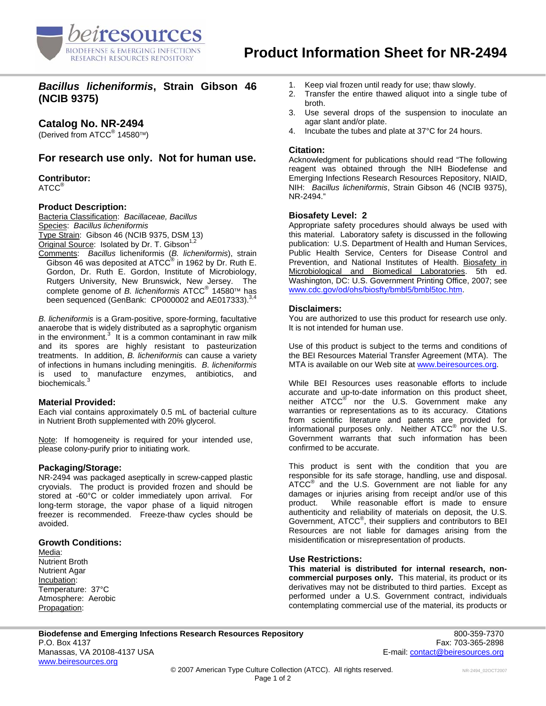

*Bacillus licheniformis***, Strain Gibson 46 (NCIB 9375)** 

# **Catalog No. NR-2494**

(Derived from ATCC<sup>®</sup> 14580™)

# **For research use only. Not for human use.**

# **Contributor:**

ATCC®

## **Product Description:**

Bacteria Classification: *Bacillaceae, Bacillus*  Species: *Bacillus licheniformis*  Type Strain: Gibson 46 (NCIB 9375, DSM 13) Original Source: Isolated by Dr. T. Gibson<sup>1,2</sup> Comments: *Bacillus* licheniformis (*B. licheniformis*), strain

Gibson 46 was deposited at ATCC $^{\circ}$  in 1962 by Dr. Ruth E. Gordon, Dr. Ruth E. Gordon, Institute of Microbiology, Rutgers University, New Brunswick, New Jersey. The complete genome of *B. licheniformis* ATCC® 14580™ has been sequenced (GenBank: CP000002 and AE017333).<sup>3</sup>

*B. licheniformis* is a Gram-positive, spore-forming, facultative anaerobe that is widely distributed as a saprophytic organism in the environment. $3$  It is a common contaminant in raw milk and its spores are highly resistant to pasteurization treatments. In addition, *B. licheniformis* can cause a variety of infections in humans including meningitis. *B. licheniformis* is used to manufacture enzymes, antibiotics, and biochemicals.<sup>3</sup>

## **Material Provided:**

Each vial contains approximately 0.5 mL of bacterial culture in Nutrient Broth supplemented with 20% glycerol.

Note: If homogeneity is required for your intended use, please colony-purify prior to initiating work.

#### **Packaging/Storage:**

NR-2494 was packaged aseptically in screw-capped plastic cryovials. The product is provided frozen and should be stored at -60°C or colder immediately upon arrival. For long-term storage, the vapor phase of a liquid nitrogen freezer is recommended. Freeze-thaw cycles should be avoided.

## **Growth Conditions:**

Media: Nutrient Broth Nutrient Agar Incubation: Temperature: 37°C Atmosphere: Aerobic Propagation:

- 1. Keep vial frozen until ready for use; thaw slowly.
- 2. Transfer the entire thawed aliquot into a single tube of broth.
- 3. Use several drops of the suspension to inoculate an agar slant and/or plate.
- 4. Incubate the tubes and plate at 37°C for 24 hours.

### **Citation:**

Acknowledgment for publications should read "The following reagent was obtained through the NIH Biodefense and Emerging Infections Research Resources Repository, NIAID, NIH: *Bacillus licheniformis*, Strain Gibson 46 (NCIB 9375), NR-2494."

## **Biosafety Level: 2**

Appropriate safety procedures should always be used with this material. Laboratory safety is discussed in the following publication: U.S. Department of Health and Human Services, Public Health Service, Centers for Disease Control and Prevention, and National Institutes of Health. Biosafety in Microbiological and Biomedical Laboratories. 5th ed. Washington, DC: U.S. Government Printing Office, 2007; see [www.cdc.gov/od/ohs/biosfty/bmbl5/bmbl5toc.htm.](http://www.cdc.gov/od/ohs/biosfty/bmbl5/bmbl5toc.htm)

#### **Disclaimers:**

You are authorized to use this product for research use only. It is not intended for human use.

Use of this product is subject to the terms and conditions of the BEI Resources Material Transfer Agreement (MTA). The MTA is available on our Web site at [www.beiresources.org](http://www.beiresources.org/).

While BEI Resources uses reasonable efforts to include accurate and up-to-date information on this product sheet, neither ATCC<sup>®</sup> nor the U.S. Government make any warranties or representations as to its accuracy. Citations from scientific literature and patents are provided for informational purposes only. Neither  $\tt{ATCC}^{\circledR}$  nor the U.S. Government warrants that such information has been confirmed to be accurate.

This product is sent with the condition that you are responsible for its safe storage, handling, use and disposal. ATCC<sup>®</sup> and the U.S. Government are not liable for any damages or injuries arising from receipt and/or use of this product. While reasonable effort is made to ensure authenticity and reliability of materials on deposit, the U.S. Government, ATCC<sup>®</sup>, their suppliers and contributors to BEI Resources are not liable for damages arising from the misidentification or misrepresentation of products.

#### **Use Restrictions:**

**This material is distributed for internal research, noncommercial purposes only.** This material, its product or its derivatives may not be distributed to third parties. Except as performed under a U.S. Government contract, individuals contemplating commercial use of the material, its products or